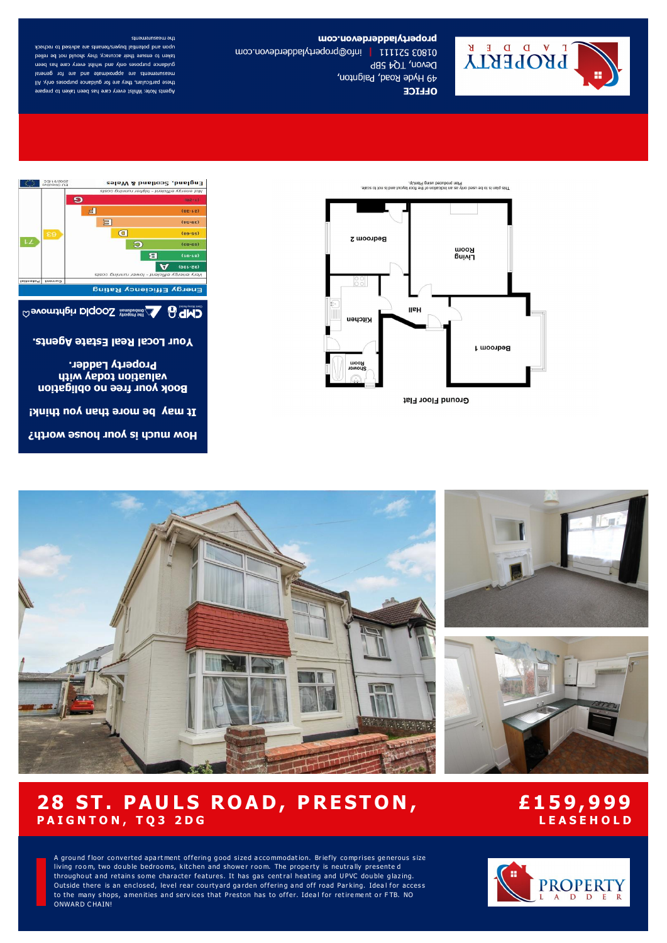

## propertyladoterdevon.com

01803 52111 | info@propertyladderdevon.com Devon, TQ4 5BP 49 Hyde Road, Paignton, **OLLICE** 

#### the measurements

upon and potential buyers/tenants are advised to recheck taken to ensure their accuracy, they should not be relied guidance purposes only and whilst every care has been measurements are approximate and are for general these particulars, they are for guidance purposes only. All Agents Note: Whilst every care has been taken to prepare







valuation today with **Book your free no obligation** 

It may be more than you think!

How much is your house worth?









A ground floor converted apartment offering good sized accommodation. Briefly comprises generous size living room, two double bedrooms, kitchen and shower room. The property is neutrally presented throughout and retains some character features. It has gas central heating and UPVC double glazing. Outside there is an enclosed, level rear courtyard garden offering and off road Parking. Ideal for access to the many shops, amenities and services that Preston has to offer. Ideal for retirement or FTB. NO ONWARD C HAIN!



# **28 ST. PAULS ROAD, PRESTON, P A I G N T O N , T Q 3 2 D G**

## **£1 5 9, 9 99 L E A S E H O L D**